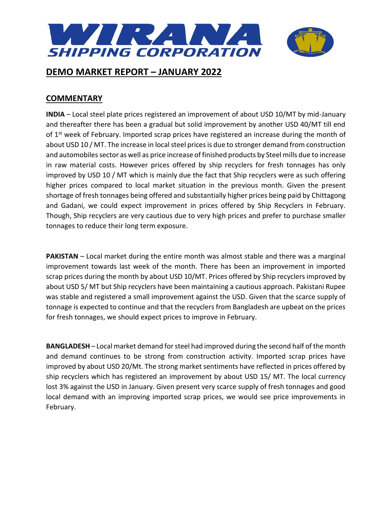

### **COMMENTARY**

**INDIA** – Local steel plate prices registered an improvement of about USD 10/MT by mid-January and thereafter there has been a gradual but solid improvement by another USD 40/MT till end of  $1<sup>st</sup>$  week of February. Imported scrap prices have registered an increase during the month of about USD 10 / MT. The increase in local steel prices is due to stronger demand from construction and automobiles sector as well as price increase of finished products by Steel mills due to increase in raw material costs. However prices offered by ship recyclers for fresh tonnages has only improved by USD 10 / MT which is mainly due the fact that Ship recyclers were as such offering higher prices compared to local market situation in the previous month. Given the present shortage of fresh tonnages being offered and substantially higher prices being paid by Chittagong and Gadani, we could expect improvement in prices offered by Ship Recyclers in February. Though, Ship recyclers are very cautious due to very high prices and prefer to purchase smaller tonnages to reduce their long term exposure.

**PAKISTAN** – Local market during the entire month was almost stable and there was a marginal improvement towards last week of the month. There has been an improvement in imported scrap prices during the month by about USD 10/MT. Prices offered by Ship recyclers improved by about USD 5/ MT but Ship recyclers have been maintaining a cautious approach. Pakistani Rupee was stable and registered a small improvement against the USD. Given that the scarce supply of tonnage is expected to continue and that the recyclers from Bangladesh are upbeat on the prices for fresh tonnages, we should expect prices to improve in February.

**BANGLADESH** – Local market demand for steel had improved during the second half of the month and demand continues to be strong from construction activity. Imported scrap prices have improved by about USD 20/Mt. The strong market sentiments have reflected in prices offered by ship recyclers which has registered an improvement by about USD 15/ MT. The local currency lost 3% against the USD in January. Given present very scarce supply of fresh tonnages and good local demand with an improving imported scrap prices, we would see price improvements in February.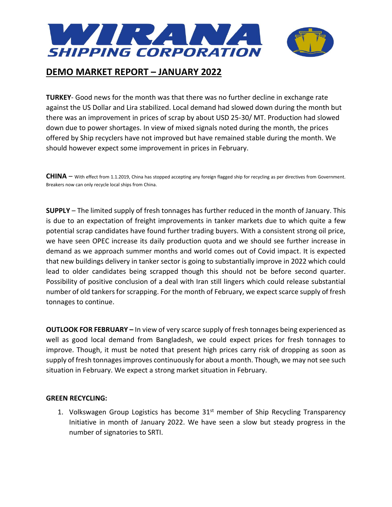

**TURKEY**- Good news for the month was that there was no further decline in exchange rate against the US Dollar and Lira stabilized. Local demand had slowed down during the month but there was an improvement in prices of scrap by about USD 25-30/ MT. Production had slowed down due to power shortages. In view of mixed signals noted during the month, the prices offered by Ship recyclers have not improved but have remained stable during the month. We should however expect some improvement in prices in February.

**CHINA** – With effect from 1.1.2019, China has stopped accepting any foreign flagged ship for recycling as per directives from Government. Breakers now can only recycle local ships from China.

**SUPPLY** – The limited supply of fresh tonnages has further reduced in the month of January. This is due to an expectation of freight improvements in tanker markets due to which quite a few potential scrap candidates have found further trading buyers. With a consistent strong oil price, we have seen OPEC increase its daily production quota and we should see further increase in demand as we approach summer months and world comes out of Covid impact. It is expected that new buildings delivery in tanker sector is going to substantially improve in 2022 which could lead to older candidates being scrapped though this should not be before second quarter. Possibility of positive conclusion of a deal with Iran still lingers which could release substantial number of old tankers for scrapping. For the month of February, we expect scarce supply of fresh tonnages to continue.

**OUTLOOK FOR FEBRUARY –** In view of very scarce supply of fresh tonnages being experienced as well as good local demand from Bangladesh, we could expect prices for fresh tonnages to improve. Though, it must be noted that present high prices carry risk of dropping as soon as supply of fresh tonnages improves continuously for about a month. Though, we may not see such situation in February. We expect a strong market situation in February.

### **GREEN RECYCLING:**

1. Volkswagen Group Logistics has become  $31<sup>st</sup>$  member of Ship Recycling Transparency Initiative in month of January 2022. We have seen a slow but steady progress in the number of signatories to SRTI.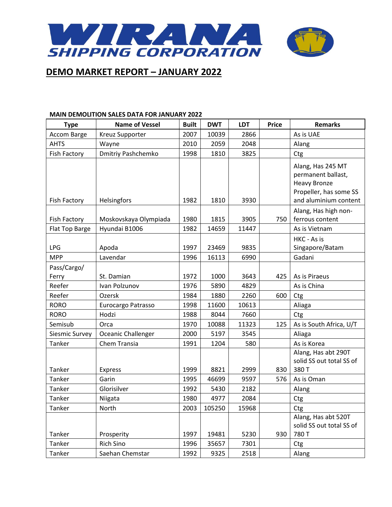

#### **MAIN DEMOLITION SALES DATA FOR JANUARY 2022**

| <b>Type</b>          | <b>Name of Vessel</b> | <b>Built</b> | <b>DWT</b> | <b>LDT</b> | <b>Price</b> | <b>Remarks</b>                                                                                                    |
|----------------------|-----------------------|--------------|------------|------------|--------------|-------------------------------------------------------------------------------------------------------------------|
| Accom Barge          | Kreuz Supporter       | 2007         | 10039      | 2866       |              | As is UAE                                                                                                         |
| <b>AHTS</b>          | Wayne                 | 2010         | 2059       | 2048       |              | Alang                                                                                                             |
| <b>Fish Factory</b>  | Dmitriy Pashchemko    | 1998         | 1810       | 3825       |              | Ctg                                                                                                               |
| <b>Fish Factory</b>  | Helsingfors           | 1982         | 1810       | 3930       |              | Alang, Has 245 MT<br>permanent ballast,<br><b>Heavy Bronze</b><br>Propeller, has some SS<br>and aluminium content |
| <b>Fish Factory</b>  | Moskovskaya Olympiada | 1980         | 1815       | 3905       | 750          | Alang, Has high non-<br>ferrous content                                                                           |
| Flat Top Barge       | Hyundai B1006         | 1982         | 14659      | 11447      |              | As is Vietnam                                                                                                     |
| <b>LPG</b>           | Apoda                 | 1997         | 23469      | 9835       |              | HKC - As is<br>Singapore/Batam                                                                                    |
| <b>MPP</b>           | Lavendar              | 1996         | 16113      | 6990       |              | Gadani                                                                                                            |
| Pass/Cargo/<br>Ferry | St. Damian            | 1972         | 1000       | 3643       | 425          | As is Piraeus                                                                                                     |
| Reefer               | Ivan Polzunov         | 1976         | 5890       | 4829       |              | As is China                                                                                                       |
| Reefer               | Ozersk                | 1984         | 1880       | 2260       | 600          | Ctg                                                                                                               |
| <b>RORO</b>          | Eurocargo Patrasso    | 1998         | 11600      | 10613      |              | Aliaga                                                                                                            |
| <b>RORO</b>          | Hodzi                 | 1988         | 8044       | 7660       |              | Ctg                                                                                                               |
| Semisub              | Orca                  | 1970         | 10088      | 11323      | 125          | As is South Africa, U/T                                                                                           |
| Siesmic Survey       | Oceanic Challenger    | 2000         | 5197       | 3545       |              | Aliaga                                                                                                            |
| Tanker               | Chem Transia          | 1991         | 1204       | 580        |              | As is Korea                                                                                                       |
| Tanker               | <b>Express</b>        | 1999         | 8821       | 2999       | 830          | Alang, Has abt 290T<br>solid SS out total SS of<br>380 T                                                          |
| Tanker               | Garin                 | 1995         | 46699      | 9597       | 576          | As is Oman                                                                                                        |
| Tanker               | Glorisilver           | 1992         | 5430       | 2182       |              | Alang                                                                                                             |
| Tanker               | Niigata               | 1980         | 4977       | 2084       |              | Ctg                                                                                                               |
| Tanker               | North                 | 2003         | 105250     | 15968      |              | Ctg                                                                                                               |
| Tanker               | Prosperity            | 1997         | 19481      | 5230       | 930          | Alang, Has abt 520T<br>solid SS out total SS of<br>780 T                                                          |
| Tanker               | Rich Sino             | 1996         | 35657      | 7301       |              | Ctg                                                                                                               |
| Tanker               | Saehan Chemstar       | 1992         | 9325       | 2518       |              | Alang                                                                                                             |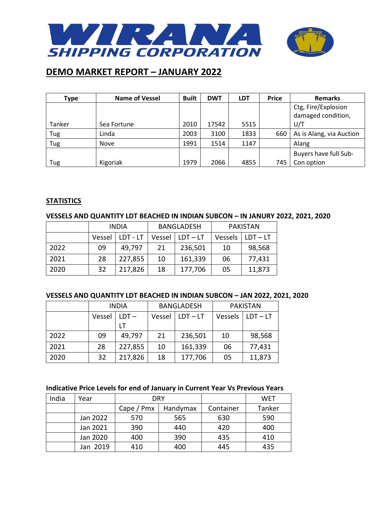

| <b>Type</b> | <b>Name of Vessel</b> | <b>Built</b> | <b>DWT</b> | <b>LDT</b> | <b>Price</b> | <b>Remarks</b>           |
|-------------|-----------------------|--------------|------------|------------|--------------|--------------------------|
|             |                       |              |            |            |              | Ctg, Fire/Explosion      |
|             |                       |              |            |            |              | damaged condition,       |
| Tanker      | Sea Fortune           | 2010         | 17542      | 5515       |              | U/T                      |
| Tug         | Linda                 | 2003         | 3100       | 1833       | 660          | As is Alang, via Auction |
| Tug         | Nove                  | 1991         | 1514       | 1147       |              | Alang                    |
|             |                       |              |            |            |              | Buyers have full Sub-    |
| Tug         | Kigoriak              | 1979         | 2066       | 4855       | 745          | Con option               |

#### **STATISTICS**

#### **VESSELS AND QUANTITY LDT BEACHED IN INDIAN SUBCON – IN JANURY 2022, 2021, 2020**

|      | <b>INDIA</b> |          |        | <b>BANGLADESH</b> | <b>PAKISTAN</b> |            |
|------|--------------|----------|--------|-------------------|-----------------|------------|
|      | Vessel       | LDT - LT | Vessel | $LDT - LT$        | Vessels         | $LDT - LT$ |
| 2022 | 09           | 49,797   | 21     | 236,501           | 10              | 98,568     |
| 2021 | 28           | 227,855  | 10     | 161,339           | 06              | 77,431     |
| 2020 | 32           | 217,826  | 18     | 177,706           | 05              | 11,873     |

#### **VESSELS AND QUANTITY LDT BEACHED IN INDIAN SUBCON – JAN 2022, 2021, 2020**

|      | <b>INDIA</b> |         |        | <b>BANGLADESH</b> | <b>PAKISTAN</b> |            |
|------|--------------|---------|--------|-------------------|-----------------|------------|
|      | Vessel       | $LDT -$ | Vessel | $LDT - LT$        | Vessels         | $LDT - LT$ |
|      |              |         |        |                   |                 |            |
| 2022 | 09           | 49,797  | 21     | 236,501           | 10              | 98,568     |
| 2021 | 28           | 227,855 | 10     | 161,339           | 06              | 77,431     |
| 2020 | 32           | 217,826 | 18     | 177,706           | 05              | 11,873     |

### **Indicative Price Levels for end of January in Current Year Vs Previous Years**

| India | Year     |                 | <b>DRY</b> |           | <b>WET</b> |
|-------|----------|-----------------|------------|-----------|------------|
|       |          | Cape $/$ Pm $x$ | Handymax   | Container | Tanker     |
|       | Jan 2022 | 570             | 565        | 630       | 590        |
|       | Jan 2021 | 390             | 440        | 420       | 400        |
|       | Jan 2020 | 400             | 390        | 435       | 410        |
|       | Jan 2019 | 410             | 400        | 445       | 435        |